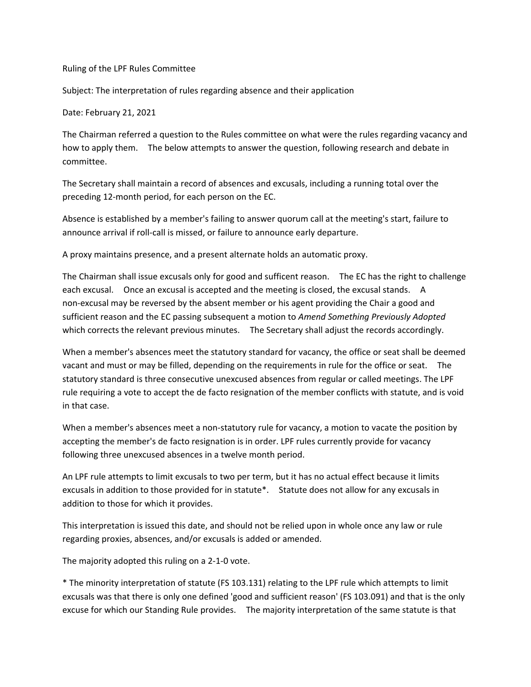## Ruling of the LPF Rules Committee

Subject: The interpretation of rules regarding absence and their application

Date: February 21, 2021

The Chairman referred a question to the Rules committee on what were the rules regarding vacancy and how to apply them. The below attempts to answer the question, following research and debate in committee.

The Secretary shall maintain a record of absences and excusals, including a running total over the preceding 12‐month period, for each person on the EC.

Absence is established by a member's failing to answer quorum call at the meeting's start, failure to announce arrival if roll-call is missed, or failure to announce early departure.

A proxy maintains presence, and a present alternate holds an automatic proxy.

The Chairman shall issue excusals only for good and sufficent reason. The EC has the right to challenge each excusal. Once an excusal is accepted and the meeting is closed, the excusal stands. A non‐excusal may be reversed by the absent member or his agent providing the Chair a good and sufficient reason and the EC passing subsequent a motion to *Amend Something Previously Adopted*  which corrects the relevant previous minutes. The Secretary shall adjust the records accordingly.

When a member's absences meet the statutory standard for vacancy, the office or seat shall be deemed vacant and must or may be filled, depending on the requirements in rule for the office or seat. The statutory standard is three consecutive unexcused absences from regular or called meetings. The LPF rule requiring a vote to accept the de facto resignation of the member conflicts with statute, and is void in that case.

When a member's absences meet a non-statutory rule for vacancy, a motion to vacate the position by accepting the member's de facto resignation is in order. LPF rules currently provide for vacancy following three unexcused absences in a twelve month period.

An LPF rule attempts to limit excusals to two per term, but it has no actual effect because it limits excusals in addition to those provided for in statute\*. Statute does not allow for any excusals in addition to those for which it provides.

This interpretation is issued this date, and should not be relied upon in whole once any law or rule regarding proxies, absences, and/or excusals is added or amended.

The majority adopted this ruling on a 2‐1‐0 vote.

\* The minority interpretation of statute (FS 103.131) relating to the LPF rule which attempts to limit excusals was that there is only one defined 'good and sufficient reason' (FS 103.091) and that is the only excuse for which our Standing Rule provides. The majority interpretation of the same statute is that